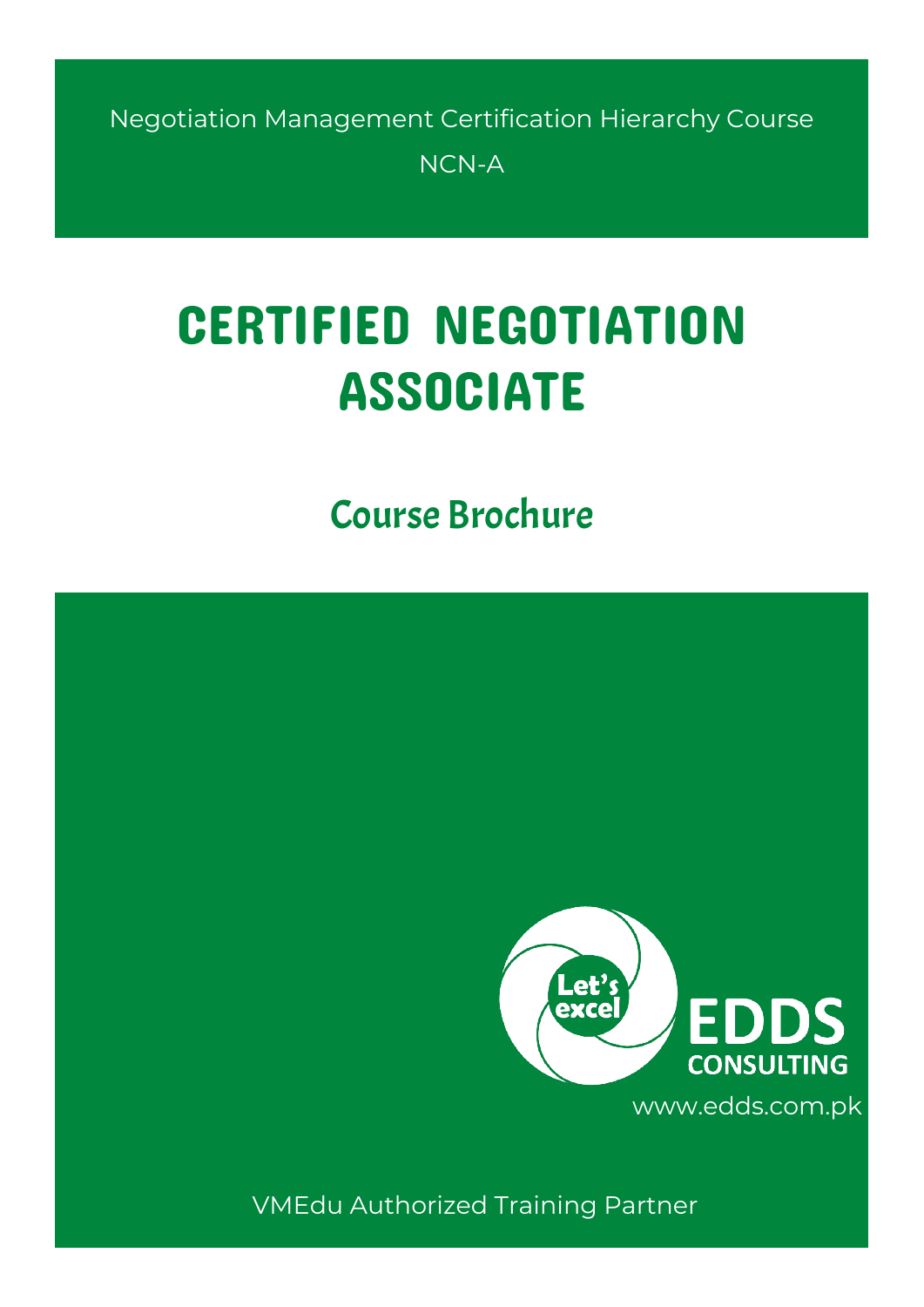Negotiation Management Certification Hierarchy Course NCN-A

# CERTIFIED NEGOTIATION ASSOCIATE

# Course Brochure



VMEdu Authorized Training Partner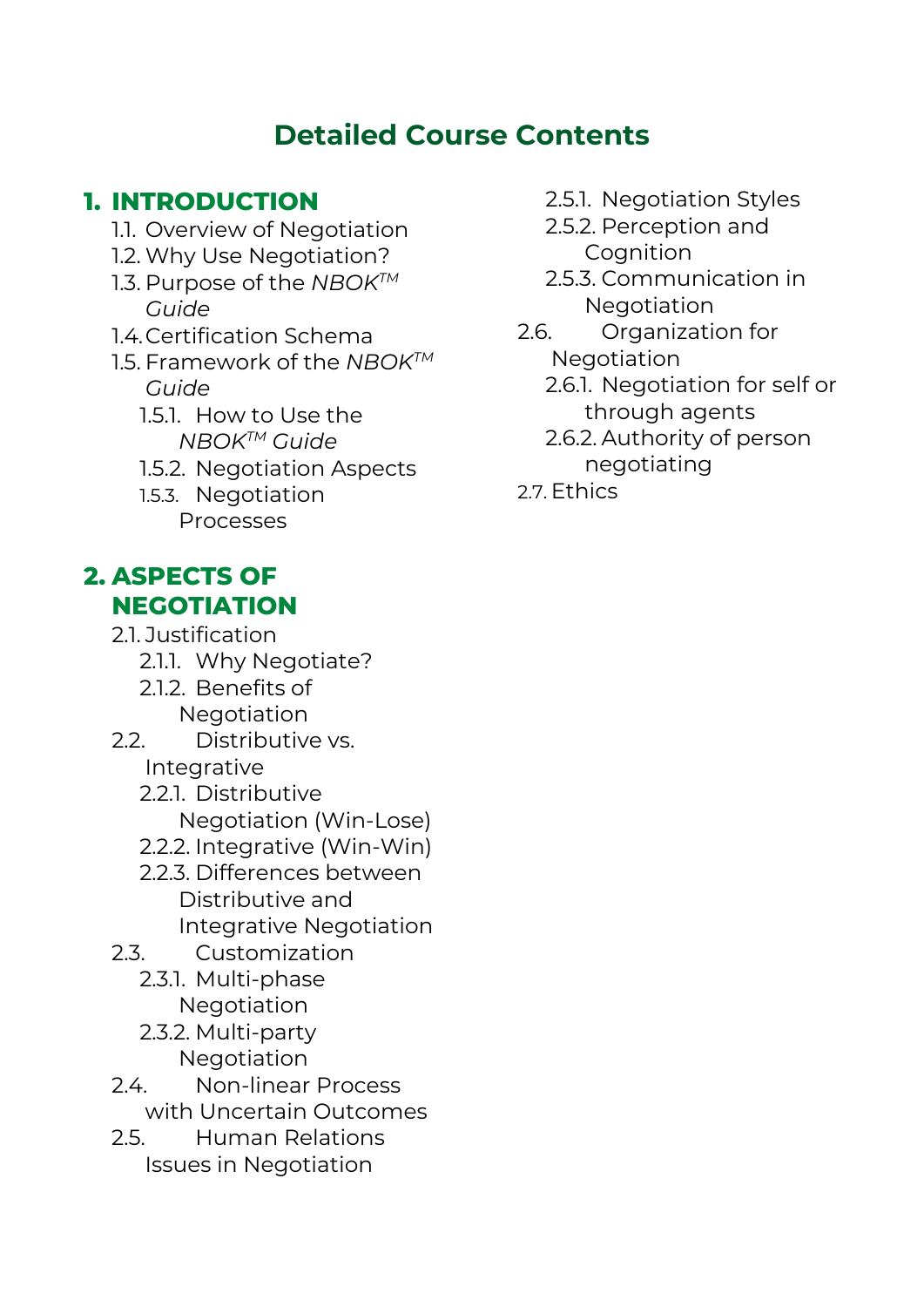## **Detailed Course Contents**

#### **1. INTRODUCTION**

- 1.1. Overview of Negotiation
- 1.2. Why Use Negotiation?
- 1.3. Purpose of the *NBOKTM Guide*
- 14 Certification Schema
- 1.5. Framework of the *NBOKTM Guide*
	- 1.5.1. How to Use the *NBOKTM Guide*
	- 1.5.2. Negotiation Aspects
	- 1.5.3. Negotiation Processes

### **2. ASPECTS OF NEGOTIATION**

- 
- 2.1. Justification 2.1.1. Why Negotiate?
	- 2.1.2. Benefits of **Negotiation**
- 2.2. Distributive vs. Integrative
	- 2.2.1. Distributive Negotiation (Win-Lose)
	- 2.2.2. Integrative (Win-Win)
	- 2.2.3. Differences between Distributive and Integrative Negotiation
- 2.3. Customization
	- 2.3.1. Multi-phase Negotiation
	- 2.3.2. Multi-party Negotiation
- 2.4. Non-linear Process
- with Uncertain Outcomes
- 2.5. Human Relations Issues in Negotiation
- 2.5.1. Negotiation Styles
- 2.5.2. Perception and **Cognition**
- 2.5.3. Communication in **Negotiation**
- 2.6. Organization for Negotiation
	- 2.6.1. Negotiation for self or through agents
	- 2.6.2. Authority of person negotiating
- 27 Fthics